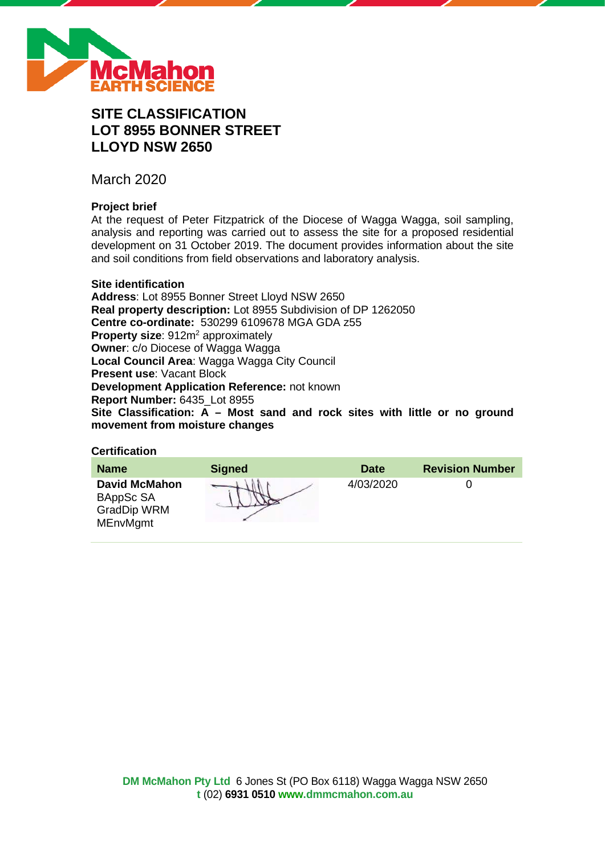

# **SITE CLASSIFICATION LOT 8955 BONNER STREET LLOYD NSW 2650**

March 2020

# **Project brief**

At the request of Peter Fitzpatrick of the Diocese of Wagga Wagga, soil sampling, analysis and reporting was carried out to assess the site for a proposed residential development on 31 October 2019. The document provides information about the site and soil conditions from field observations and laboratory analysis.

# **Site identification**

**Address**: Lot 8955 Bonner Street Lloyd NSW 2650 **Real property description:** Lot 8955 Subdivision of DP 1262050 **Centre co-ordinate:** 530299 6109678 MGA GDA z55 **Property size:** 912m<sup>2</sup> approximately **Owner**: c/o Diocese of Wagga Wagga **Local Council Area**: Wagga Wagga City Council **Present use**: Vacant Block **Development Application Reference:** not known **Report Number:** 6435\_Lot 8955 **Site Classification: A – Most sand and rock sites with little or no ground movement from moisture changes**

# **Certification**

| <b>Name</b>                                                                | <b>Signed</b> | <b>Date</b> | <b>Revision Number</b> |
|----------------------------------------------------------------------------|---------------|-------------|------------------------|
| <b>David McMahon</b><br>BAppSc SA<br><b>GradDip WRM</b><br><b>MEnvMgmt</b> |               | 4/03/2020   |                        |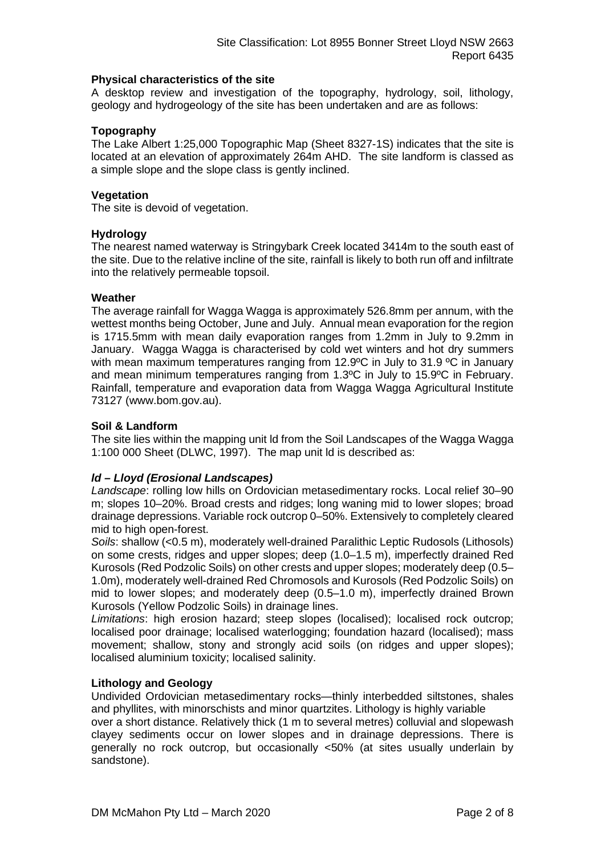# **Physical characteristics of the site**

A desktop review and investigation of the topography, hydrology, soil, lithology, geology and hydrogeology of the site has been undertaken and are as follows:

# **Topography**

The Lake Albert 1:25,000 Topographic Map (Sheet 8327-1S) indicates that the site is located at an elevation of approximately 264m AHD. The site landform is classed as a simple slope and the slope class is gently inclined.

# **Vegetation**

The site is devoid of vegetation.

# **Hydrology**

The nearest named waterway is Stringybark Creek located 3414m to the south east of the site. Due to the relative incline of the site, rainfall is likely to both run off and infiltrate into the relatively permeable topsoil.

# **Weather**

The average rainfall for Wagga Wagga is approximately 526.8mm per annum, with the wettest months being October, June and July. Annual mean evaporation for the region is 1715.5mm with mean daily evaporation ranges from 1.2mm in July to 9.2mm in January. Wagga Wagga is characterised by cold wet winters and hot dry summers with mean maximum temperatures ranging from 12.9°C in July to 31.9 °C in January and mean minimum temperatures ranging from 1.3ºC in July to 15.9ºC in February. Rainfall, temperature and evaporation data from Wagga Wagga Agricultural Institute 73127 (www.bom.gov.au).

# **Soil & Landform**

The site lies within the mapping unit ld from the Soil Landscapes of the Wagga Wagga 1:100 000 Sheet (DLWC, 1997). The map unit ld is described as:

# *ld – Lloyd (Erosional Landscapes)*

*Landscape*: rolling low hills on Ordovician metasedimentary rocks. Local relief 30–90 m; slopes 10–20%. Broad crests and ridges; long waning mid to lower slopes; broad drainage depressions. Variable rock outcrop 0–50%. Extensively to completely cleared mid to high open-forest.

*Soils*: shallow (<0.5 m), moderately well-drained Paralithic Leptic Rudosols (Lithosols) on some crests, ridges and upper slopes; deep (1.0–1.5 m), imperfectly drained Red Kurosols (Red Podzolic Soils) on other crests and upper slopes; moderately deep (0.5– 1.0m), moderately well-drained Red Chromosols and Kurosols (Red Podzolic Soils) on mid to lower slopes; and moderately deep (0.5–1.0 m), imperfectly drained Brown Kurosols (Yellow Podzolic Soils) in drainage lines.

*Limitations*: high erosion hazard; steep slopes (localised); localised rock outcrop; localised poor drainage; localised waterlogging; foundation hazard (localised); mass movement; shallow, stony and strongly acid soils (on ridges and upper slopes); localised aluminium toxicity; localised salinity.

### **Lithology and Geology**

Undivided Ordovician metasedimentary rocks—thinly interbedded siltstones, shales and phyllites, with minorschists and minor quartzites. Lithology is highly variable

over a short distance. Relatively thick (1 m to several metres) colluvial and slopewash clayey sediments occur on lower slopes and in drainage depressions. There is generally no rock outcrop, but occasionally <50% (at sites usually underlain by sandstone).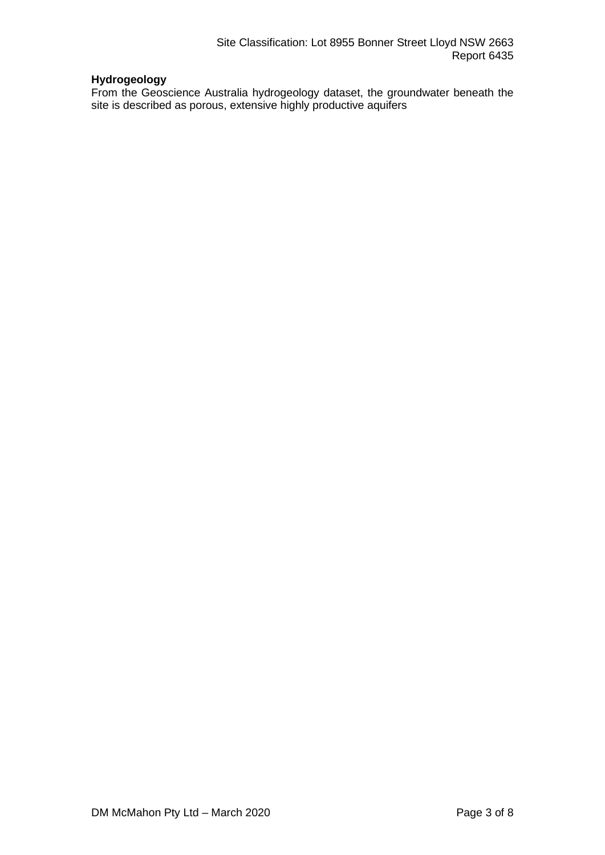# **Hydrogeology**

From the Geoscience Australia hydrogeology dataset, the groundwater beneath the site is described as porous, extensive highly productive aquifers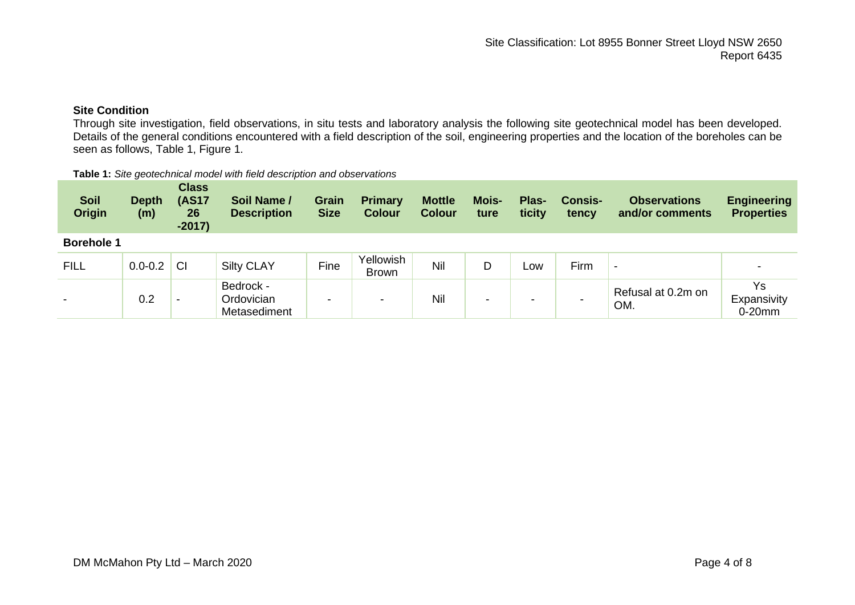# **Site Condition**

Through site investigation, field observations, in situ tests and laboratory analysis the following site geotechnical model has been developed. Details of the general conditions encountered with a field description of the soil, engineering properties and the location of the boreholes can be seen as follows, Table 1, Figure 1.

#### **Table 1:** *Site geotechnical model with field description and observations*

| <b>Soil</b><br><b>Origin</b> | <b>Depth</b><br>(m) | <b>Class</b><br><b>(AS17</b><br>26<br>$-2017)$ | Soil Name /<br><b>Description</b>       | <b>Grain</b><br><b>Size</b> | <b>Primary</b><br><b>Colour</b> | <b>Mottle</b><br><b>Colour</b> | <b>Mois-</b><br>ture | Plas-<br>ticity | <b>Consis-</b><br>tency | <b>Observations</b><br>and/or comments | <b>Engineering</b><br><b>Properties</b> |
|------------------------------|---------------------|------------------------------------------------|-----------------------------------------|-----------------------------|---------------------------------|--------------------------------|----------------------|-----------------|-------------------------|----------------------------------------|-----------------------------------------|
| <b>Borehole 1</b>            |                     |                                                |                                         |                             |                                 |                                |                      |                 |                         |                                        |                                         |
| <b>FILL</b>                  | $0.0 - 0.2$         | <b>CI</b>                                      | <b>Silty CLAY</b>                       | Fine                        | Yellowish<br><b>Brown</b>       | Nil                            | D                    | Low             | Firm                    | $\blacksquare$                         |                                         |
| $\blacksquare$               | 0.2                 | $\,$                                           | Bedrock -<br>Ordovician<br>Metasediment | $\overline{\phantom{a}}$    | $\overline{\phantom{a}}$        | Nil                            | $\sim$               | -               |                         | Refusal at 0.2m on<br>OM.              | Ys<br>Expansivity<br>$0-20$ mm          |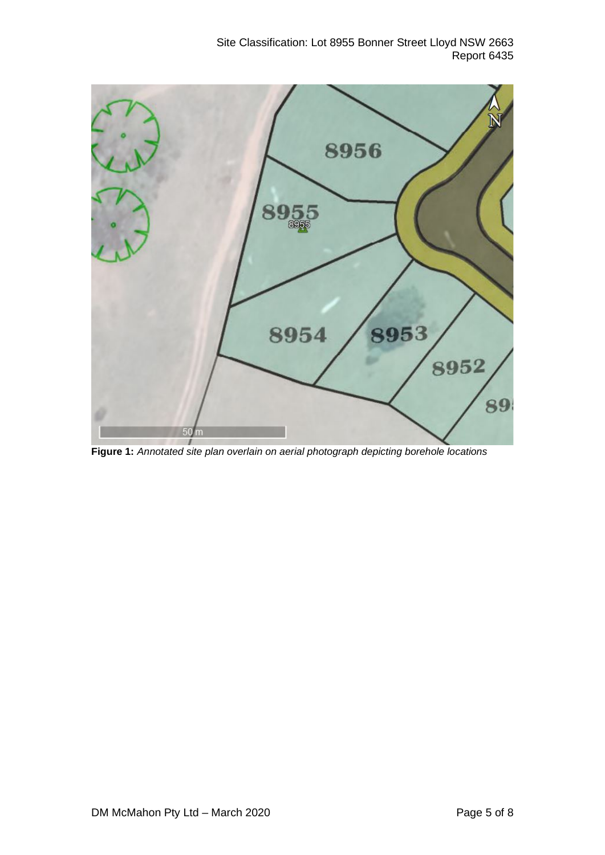Site Classification: Lot 8955 Bonner Street Lloyd NSW 2663 Report 6435



**Figure 1:** *Annotated site plan overlain on aerial photograph depicting borehole locations*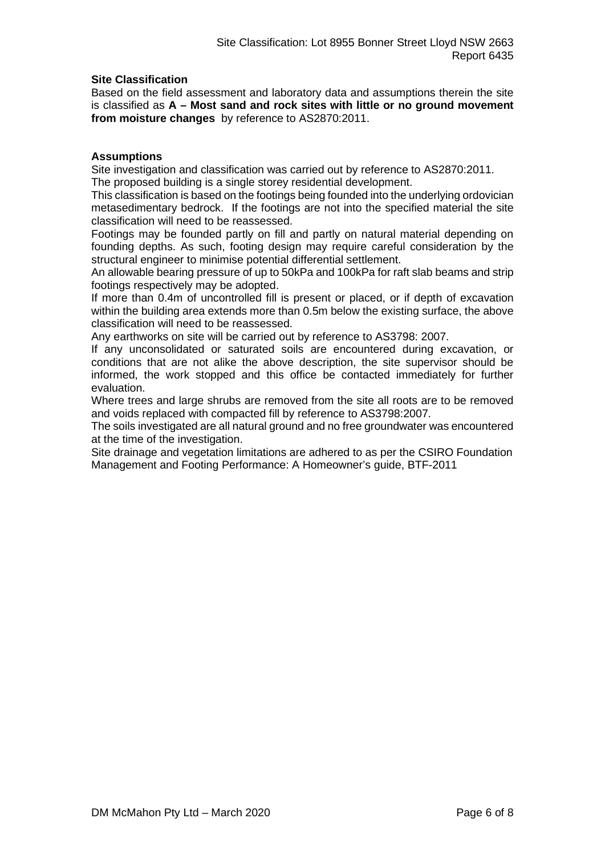# **Site Classification**

Based on the field assessment and laboratory data and assumptions therein the site is classified as **A – Most sand and rock sites with little or no ground movement from moisture changes** by reference to AS2870:2011.

# **Assumptions**

Site investigation and classification was carried out by reference to AS2870:2011. The proposed building is a single storey residential development.

This classification is based on the footings being founded into the underlying ordovician metasedimentary bedrock. If the footings are not into the specified material the site classification will need to be reassessed.

Footings may be founded partly on fill and partly on natural material depending on founding depths. As such, footing design may require careful consideration by the structural engineer to minimise potential differential settlement.

An allowable bearing pressure of up to 50kPa and 100kPa for raft slab beams and strip footings respectively may be adopted.

If more than 0.4m of uncontrolled fill is present or placed, or if depth of excavation within the building area extends more than 0.5m below the existing surface, the above classification will need to be reassessed.

Any earthworks on site will be carried out by reference to AS3798: 2007.

If any unconsolidated or saturated soils are encountered during excavation, or conditions that are not alike the above description, the site supervisor should be informed, the work stopped and this office be contacted immediately for further evaluation.

Where trees and large shrubs are removed from the site all roots are to be removed and voids replaced with compacted fill by reference to AS3798:2007.

The soils investigated are all natural ground and no free groundwater was encountered at the time of the investigation.

Site drainage and vegetation limitations are adhered to as per the CSIRO Foundation Management and Footing Performance: A Homeowner's guide, BTF-2011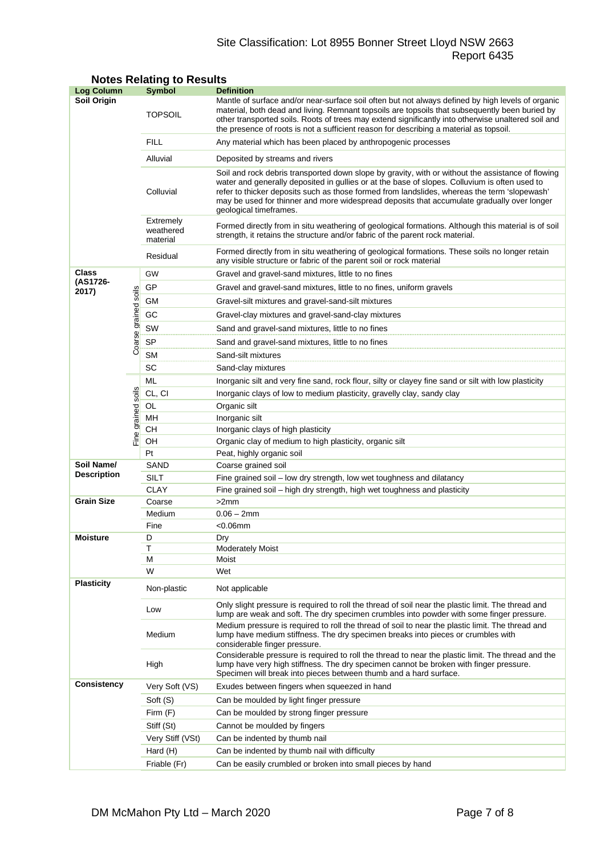# Site Classification: Lot 8955 Bonner Street Lloyd NSW 2663 Report 6435

| <b>Log Column</b>  |                      | <b>Symbol</b>                                             | <b>Definition</b>                                                                                                                                                                                                                                                                                                                                                                                                          |  |  |  |  |
|--------------------|----------------------|-----------------------------------------------------------|----------------------------------------------------------------------------------------------------------------------------------------------------------------------------------------------------------------------------------------------------------------------------------------------------------------------------------------------------------------------------------------------------------------------------|--|--|--|--|
| <b>Soil Origin</b> |                      | <b>TOPSOIL</b>                                            | Mantle of surface and/or near-surface soil often but not always defined by high levels of organic<br>material, both dead and living. Remnant topsoils are topsoils that subsequently been buried by<br>other transported soils. Roots of trees may extend significantly into otherwise unaltered soil and<br>the presence of roots is not a sufficient reason for describing a material as topsoil.                        |  |  |  |  |
|                    |                      | <b>FILL</b>                                               | Any material which has been placed by anthropogenic processes                                                                                                                                                                                                                                                                                                                                                              |  |  |  |  |
|                    |                      | Alluvial                                                  | Deposited by streams and rivers                                                                                                                                                                                                                                                                                                                                                                                            |  |  |  |  |
|                    |                      | Colluvial                                                 | Soil and rock debris transported down slope by gravity, with or without the assistance of flowing<br>water and generally deposited in gullies or at the base of slopes. Colluvium is often used to<br>refer to thicker deposits such as those formed from landslides, whereas the term 'slopewash'<br>may be used for thinner and more widespread deposits that accumulate gradually over longer<br>geological timeframes. |  |  |  |  |
|                    |                      | Extremely<br>weathered<br>material                        | Formed directly from in situ weathering of geological formations. Although this material is of soil<br>strength, it retains the structure and/or fabric of the parent rock material.                                                                                                                                                                                                                                       |  |  |  |  |
|                    |                      | Residual                                                  | Formed directly from in situ weathering of geological formations. These soils no longer retain<br>any visible structure or fabric of the parent soil or rock material                                                                                                                                                                                                                                                      |  |  |  |  |
| Class              |                      | GW<br>Gravel and gravel-sand mixtures, little to no fines |                                                                                                                                                                                                                                                                                                                                                                                                                            |  |  |  |  |
| (AS1726-           |                      | GP                                                        | Gravel and gravel-sand mixtures, little to no fines, uniform gravels                                                                                                                                                                                                                                                                                                                                                       |  |  |  |  |
| 2017)              |                      | GМ                                                        | Gravel-silt mixtures and gravel-sand-silt mixtures                                                                                                                                                                                                                                                                                                                                                                         |  |  |  |  |
|                    |                      | GC                                                        | Gravel-clay mixtures and gravel-sand-clay mixtures                                                                                                                                                                                                                                                                                                                                                                         |  |  |  |  |
|                    |                      | SW                                                        | Sand and gravel-sand mixtures, little to no fines                                                                                                                                                                                                                                                                                                                                                                          |  |  |  |  |
|                    |                      | <b>SP</b>                                                 |                                                                                                                                                                                                                                                                                                                                                                                                                            |  |  |  |  |
|                    | Coarse grained soils |                                                           | Sand and gravel-sand mixtures, little to no fines                                                                                                                                                                                                                                                                                                                                                                          |  |  |  |  |
|                    |                      | <b>SM</b><br>SC                                           | Sand-silt mixtures                                                                                                                                                                                                                                                                                                                                                                                                         |  |  |  |  |
|                    |                      | ML                                                        | Sand-clay mixtures                                                                                                                                                                                                                                                                                                                                                                                                         |  |  |  |  |
|                    |                      | CL, CI                                                    | Inorganic silt and very fine sand, rock flour, silty or clayey fine sand or silt with low plasticity                                                                                                                                                                                                                                                                                                                       |  |  |  |  |
|                    | soils                |                                                           | Inorganic clays of low to medium plasticity, gravelly clay, sandy clay                                                                                                                                                                                                                                                                                                                                                     |  |  |  |  |
|                    |                      | OL<br>MН                                                  | Organic silt<br>Inorganic silt                                                                                                                                                                                                                                                                                                                                                                                             |  |  |  |  |
|                    |                      | CН                                                        | Inorganic clays of high plasticity                                                                                                                                                                                                                                                                                                                                                                                         |  |  |  |  |
|                    | Fine grained         | OН                                                        | Organic clay of medium to high plasticity, organic silt                                                                                                                                                                                                                                                                                                                                                                    |  |  |  |  |
|                    |                      | Pt                                                        | Peat, highly organic soil                                                                                                                                                                                                                                                                                                                                                                                                  |  |  |  |  |
| Soil Name/         |                      | SAND                                                      | Coarse grained soil                                                                                                                                                                                                                                                                                                                                                                                                        |  |  |  |  |
| <b>Description</b> |                      | SILT                                                      | Fine grained soil - low dry strength, low wet toughness and dilatancy                                                                                                                                                                                                                                                                                                                                                      |  |  |  |  |
|                    |                      | <b>CLAY</b>                                               | Fine grained soil – high dry strength, high wet toughness and plasticity                                                                                                                                                                                                                                                                                                                                                   |  |  |  |  |
| <b>Grain Size</b>  |                      | Coarse                                                    | >2mm                                                                                                                                                                                                                                                                                                                                                                                                                       |  |  |  |  |
|                    |                      | Medium                                                    | $0.06 - 2mm$                                                                                                                                                                                                                                                                                                                                                                                                               |  |  |  |  |
|                    |                      | Fine                                                      | $<$ 0.06 $mm$                                                                                                                                                                                                                                                                                                                                                                                                              |  |  |  |  |
| <b>Moisture</b>    |                      | D                                                         | Dry                                                                                                                                                                                                                                                                                                                                                                                                                        |  |  |  |  |
|                    |                      | Т<br>М                                                    | <b>Moderately Moist</b><br>Moist                                                                                                                                                                                                                                                                                                                                                                                           |  |  |  |  |
|                    |                      | W                                                         | Wet                                                                                                                                                                                                                                                                                                                                                                                                                        |  |  |  |  |
| <b>Plasticity</b>  |                      | Non-plastic                                               | Not applicable                                                                                                                                                                                                                                                                                                                                                                                                             |  |  |  |  |
|                    |                      | Low                                                       | Only slight pressure is required to roll the thread of soil near the plastic limit. The thread and<br>lump are weak and soft. The dry specimen crumbles into powder with some finger pressure.                                                                                                                                                                                                                             |  |  |  |  |
|                    |                      | Medium                                                    | Medium pressure is required to roll the thread of soil to near the plastic limit. The thread and<br>lump have medium stiffness. The dry specimen breaks into pieces or crumbles with<br>considerable finger pressure.                                                                                                                                                                                                      |  |  |  |  |
|                    |                      | High                                                      | Considerable pressure is required to roll the thread to near the plastic limit. The thread and the<br>lump have very high stiffness. The dry specimen cannot be broken with finger pressure.<br>Specimen will break into pieces between thumb and a hard surface.                                                                                                                                                          |  |  |  |  |
| <b>Consistency</b> |                      | Very Soft (VS)                                            | Exudes between fingers when squeezed in hand                                                                                                                                                                                                                                                                                                                                                                               |  |  |  |  |
|                    |                      | Soft (S)                                                  | Can be moulded by light finger pressure                                                                                                                                                                                                                                                                                                                                                                                    |  |  |  |  |
|                    |                      | Firm (F)                                                  | Can be moulded by strong finger pressure                                                                                                                                                                                                                                                                                                                                                                                   |  |  |  |  |
|                    |                      | Stiff (St)                                                | Cannot be moulded by fingers                                                                                                                                                                                                                                                                                                                                                                                               |  |  |  |  |
|                    |                      | Very Stiff (VSt)                                          | Can be indented by thumb nail                                                                                                                                                                                                                                                                                                                                                                                              |  |  |  |  |
|                    |                      | Hard (H)                                                  | Can be indented by thumb nail with difficulty                                                                                                                                                                                                                                                                                                                                                                              |  |  |  |  |
|                    |                      | Friable (Fr)                                              | Can be easily crumbled or broken into small pieces by hand                                                                                                                                                                                                                                                                                                                                                                 |  |  |  |  |

# **Notes Relating to Results**